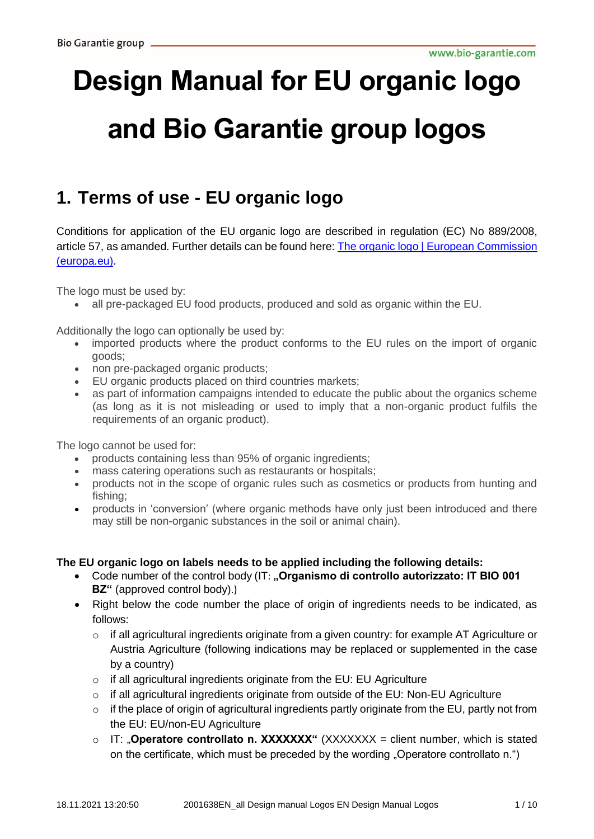# **Design Manual for EU organic logo and Bio Garantie group logos**

# **1. Terms of use - EU organic logo**

Conditions for application of the EU organic logo are described in regulation (EC) No 889/2008, article 57, as amanded. Further details can be found here: The organic logo | European Commission [\(europa.eu\).](https://ec.europa.eu/info/food-farming-fisheries/farming/organic-farming/organic-logo_en)

The logo must be used by:

all pre-packaged EU food products, produced and sold as organic within the EU.

Additionally the logo can optionally be used by:

- imported products where the product conforms to the EU rules on the import of organic goods;
- non pre-packaged organic products;
- EU organic products placed on third countries markets;
- as part of information campaigns intended to educate the public about the organics scheme (as long as it is not misleading or used to imply that a non-organic product fulfils the requirements of an organic product).

The logo cannot be used for:

- products containing less than 95% of organic ingredients;
- mass catering operations such as restaurants or hospitals;
- products not in the scope of organic rules such as cosmetics or products from hunting and fishing;
- products in 'conversion' (where organic methods have only just been introduced and there may still be non-organic substances in the soil or animal chain).

#### **The EU organic logo on labels needs to be applied including the following details:**

- Code number of the control body (IT: **..Organismo di controllo autorizzato: IT BIO 001 BZ"** (approved control body).)
- Right below the code number the place of origin of ingredients needs to be indicated, as follows:
	- $\circ$  if all agricultural ingredients originate from a given country: for example AT Agriculture or Austria Agriculture (following indications may be replaced or supplemented in the case by a country)
	- $\circ$  if all agricultural ingredients originate from the EU: EU Agriculture
	- $\circ$  if all agricultural ingredients originate from outside of the EU: Non-EU Agriculture
	- o if the place of origin of agricultural ingredients partly originate from the EU, partly not from the EU: EU/non-EU Agriculture
	- o IT: "**Operatore controllato n. XXXXXXX"** (XXXXXXX = client number, which is stated on the certificate, which must be preceded by the wording "Operatore controllato n.")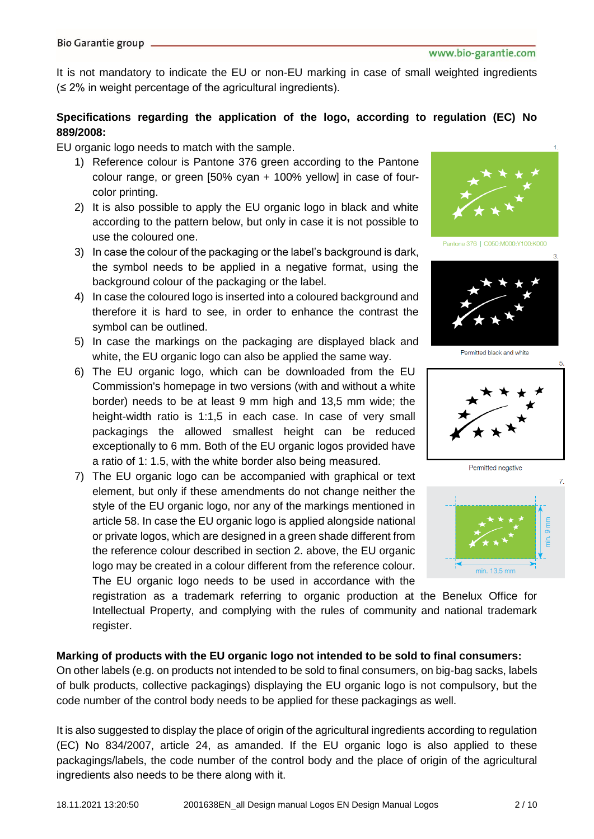It is not mandatory to indicate the EU or non-EU marking in case of small weighted ingredients (≤ 2% in weight percentage of the agricultural ingredients).

#### **Specifications regarding the application of the logo, according to regulation (EC) No 889/2008:**

EU organic logo needs to match with the sample.

- 1) Reference colour is Pantone 376 green according to the Pantone colour range, or green [50% cyan + 100% yellow] in case of fourcolor printing.
- 2) It is also possible to apply the EU organic logo in black and white according to the pattern below, but only in case it is not possible to use the coloured one.
- 3) In case the colour of the packaging or the label's background is dark, the symbol needs to be applied in a negative format, using the background colour of the packaging or the label.
- 4) In case the coloured logo is inserted into a coloured background and therefore it is hard to see, in order to enhance the contrast the symbol can be outlined.
- 5) In case the markings on the packaging are displayed black and white, the EU organic logo can also be applied the same way.
- 6) The EU organic logo, which can be downloaded from the EU Commission's homepage in two versions (with and without a white border) needs to be at least 9 mm high and 13,5 mm wide; the height-width ratio is 1:1,5 in each case. In case of very small packagings the allowed smallest height can be reduced exceptionally to 6 mm. Both of the EU organic logos provided have a ratio of 1: 1.5, with the white border also being measured.
- 7) The EU organic logo can be accompanied with graphical or text element, but only if these amendments do not change neither the style of the EU organic logo, nor any of the markings mentioned in article 58. In case the EU organic logo is applied alongside national or private logos, which are designed in a green shade different from the reference colour described in section 2. above, the EU organic logo may be created in a colour different from the reference colour. The EU organic logo needs to be used in accordance with the



Pantone 376 | C050:M000:Y100:K000



Permitted black and white







registration as a trademark referring to organic production at the Benelux Office for Intellectual Property, and complying with the rules of community and national trademark register.

#### **Marking of products with the EU organic logo not intended to be sold to final consumers:**

On other labels (e.g. on products not intended to be sold to final consumers, on big-bag sacks, labels of bulk products, collective packagings) displaying the EU organic logo is not compulsory, but the code number of the control body needs to be applied for these packagings as well.

It is also suggested to display the place of origin of the agricultural ingredients according to regulation (EC) No 834/2007, article 24, as amanded. If the EU organic logo is also applied to these packagings/labels, the code number of the control body and the place of origin of the agricultural ingredients also needs to be there along with it.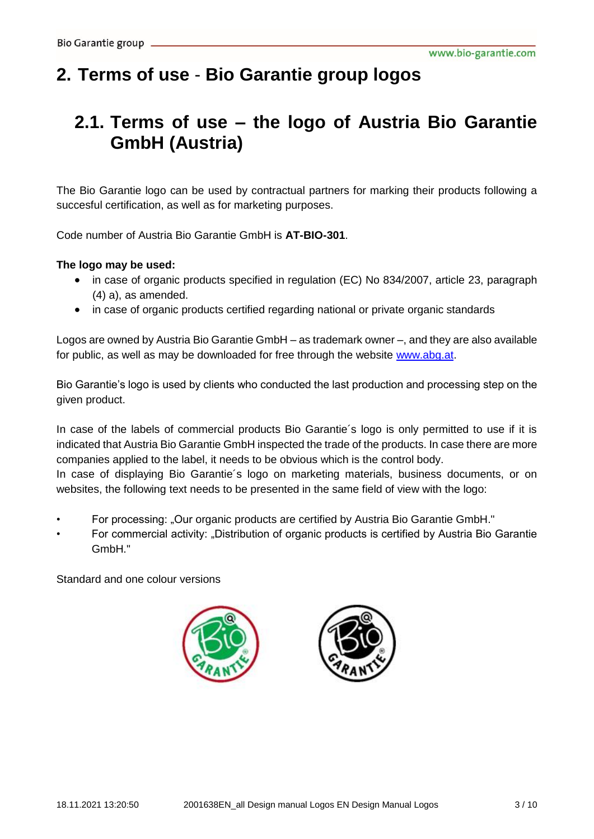# **2. Terms of use** - **Bio Garantie group logos**

### **2.1. Terms of use – the logo of Austria Bio Garantie GmbH (Austria)**

The Bio Garantie logo can be used by contractual partners for marking their products following a succesful certification, as well as for marketing purposes.

Code number of Austria Bio Garantie GmbH is **AT-BIO-301**.

#### **The logo may be used:**

- in case of organic products specified in regulation (EC) No 834/2007, article 23, paragraph (4) a), as amended.
- in case of organic products certified regarding national or private organic standards

Logos are owned by Austria Bio Garantie GmbH – as trademark owner –, and they are also available for public, as well as may be downloaded for free through the website [www.abg.at.](http://www.abg.at/)

Bio Garantie's logo is used by clients who conducted the last production and processing step on the given product.

In case of the labels of commercial products Bio Garantie's logo is only permitted to use if it is indicated that Austria Bio Garantie GmbH inspected the trade of the products. In case there are more companies applied to the label, it needs to be obvious which is the control body.

In case of displaying Bio Garantie´s logo on marketing materials, business documents, or on websites, the following text needs to be presented in the same field of view with the logo:

- For processing: "Our organic products are certified by Austria Bio Garantie GmbH."
- For commercial activity: "Distribution of organic products is certified by Austria Bio Garantie GmbH."



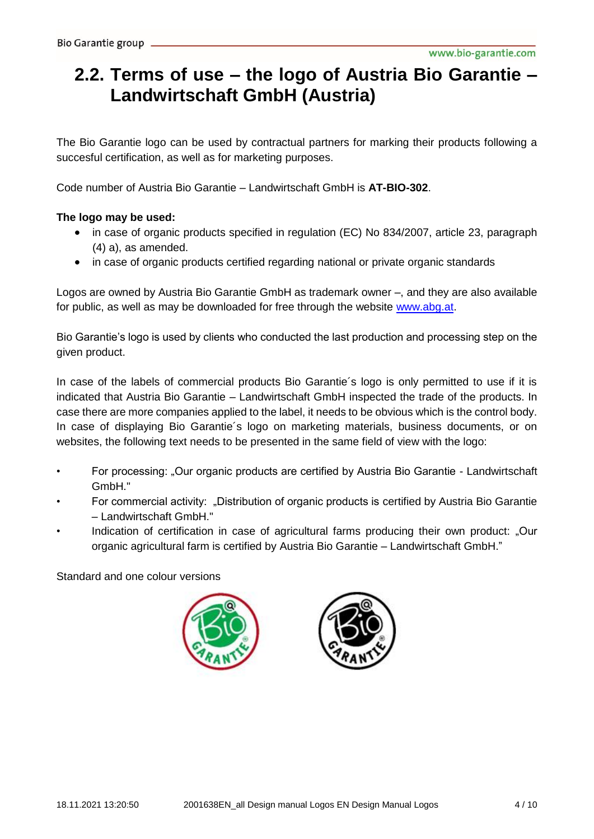# **2.2. Terms of use – the logo of Austria Bio Garantie – Landwirtschaft GmbH (Austria)**

The Bio Garantie logo can be used by contractual partners for marking their products following a succesful certification, as well as for marketing purposes.

Code number of Austria Bio Garantie – Landwirtschaft GmbH is **AT-BIO-302**.

#### **The logo may be used:**

- in case of organic products specified in regulation (EC) No 834/2007, article 23, paragraph (4) a), as amended.
- in case of organic products certified regarding national or private organic standards

Logos are owned by Austria Bio Garantie GmbH as trademark owner –, and they are also available for public, as well as may be downloaded for free through the website [www.abg.at.](http://www.abg.at/)

Bio Garantie's logo is used by clients who conducted the last production and processing step on the given product.

In case of the labels of commercial products Bio Garantie's logo is only permitted to use if it is indicated that Austria Bio Garantie – Landwirtschaft GmbH inspected the trade of the products. In case there are more companies applied to the label, it needs to be obvious which is the control body. In case of displaying Bio Garantie's logo on marketing materials, business documents, or on websites, the following text needs to be presented in the same field of view with the logo:

- For processing: "Our organic products are certified by Austria Bio Garantie Landwirtschaft GmbH."
- For commercial activity: "Distribution of organic products is certified by Austria Bio Garantie – Landwirtschaft GmbH."
- Indication of certification in case of agricultural farms producing their own product: "Our organic agricultural farm is certified by Austria Bio Garantie – Landwirtschaft GmbH."



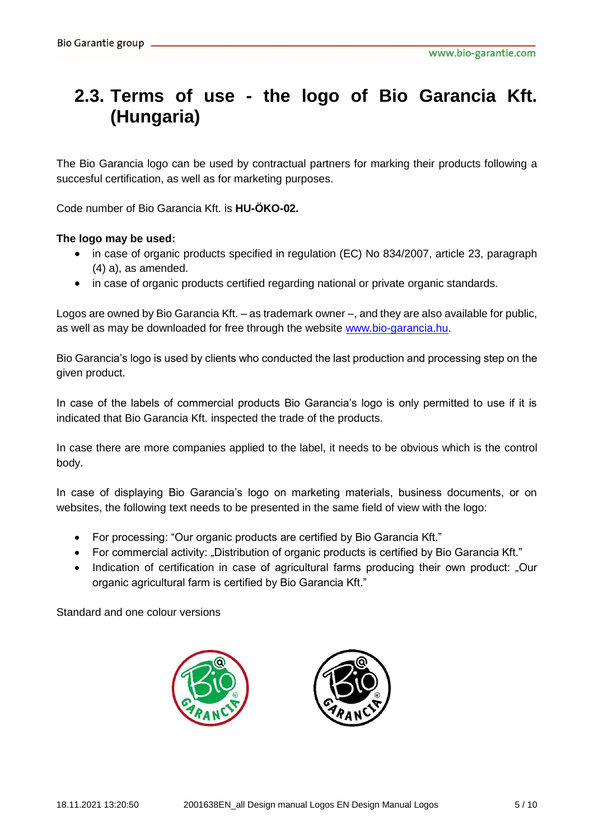### **2.3. Terms of use - the logo of Bio Garancia Kft. (Hungaria)**

The Bio Garancia logo can be used by contractual partners for marking their products following a succesful certification, as well as for marketing purposes.

Code number of Bio Garancia Kft. is **HU-ÖKO-02.**

#### **The logo may be used:**

- in case of organic products specified in regulation (EC) No 834/2007, article 23, paragraph (4) a), as amended.
- in case of organic products certified regarding national or private organic standards.

Logos are owned by Bio Garancia Kft. – as trademark owner –, and they are also available for public, as well as may be downloaded for free through the website [www.bio-garancia.hu.](http://www.bio-garancia.hu/)

Bio Garancia's logo is used by clients who conducted the last production and processing step on the given product.

In case of the labels of commercial products Bio Garancia's logo is only permitted to use if it is indicated that Bio Garancia Kft. inspected the trade of the products.

In case there are more companies applied to the label, it needs to be obvious which is the control body.

In case of displaying Bio Garancia's logo on marketing materials, business documents, or on websites, the following text needs to be presented in the same field of view with the logo:

- For processing: "Our organic products are certified by Bio Garancia Kft."
- For commercial activity: "Distribution of organic products is certified by Bio Garancia Kft."
- Indication of certification in case of agricultural farms producing their own product: "Our organic agricultural farm is certified by Bio Garancia Kft."

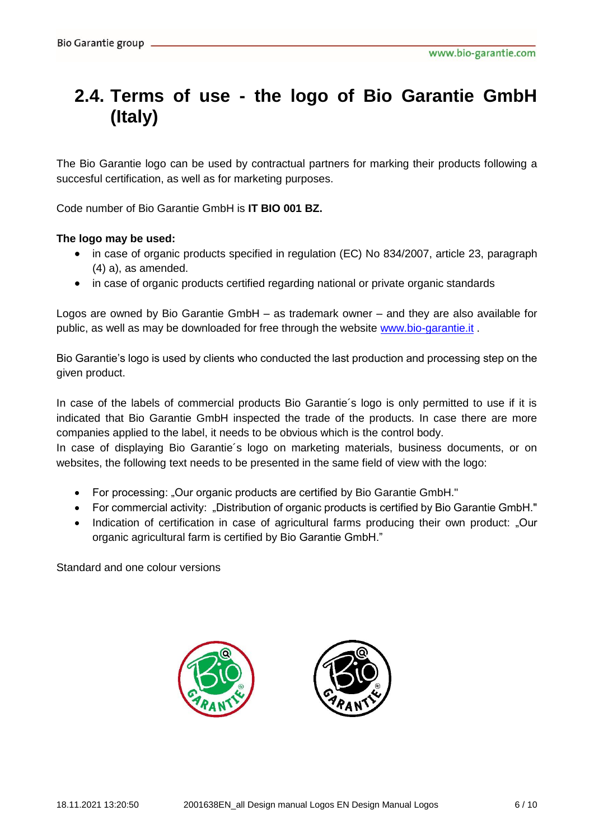# **2.4. Terms of use - the logo of Bio Garantie GmbH (Italy)**

The Bio Garantie logo can be used by contractual partners for marking their products following a succesful certification, as well as for marketing purposes.

Code number of Bio Garantie GmbH is **IT BIO 001 BZ.**

#### **The logo may be used:**

- in case of organic products specified in regulation (EC) No 834/2007, article 23, paragraph (4) a), as amended.
- in case of organic products certified regarding national or private organic standards

Logos are owned by Bio Garantie GmbH – as trademark owner – and they are also available for public, as well as may be downloaded for free through the website [www.bio-garantie.it](http://www.bio-garantie.it/).

Bio Garantie's logo is used by clients who conducted the last production and processing step on the given product.

In case of the labels of commercial products Bio Garantie´s logo is only permitted to use if it is indicated that Bio Garantie GmbH inspected the trade of the products. In case there are more companies applied to the label, it needs to be obvious which is the control body.

In case of displaying Bio Garantie's logo on marketing materials, business documents, or on websites, the following text needs to be presented in the same field of view with the logo:

- For processing: "Our organic products are certified by Bio Garantie GmbH."
- For commercial activity: "Distribution of organic products is certified by Bio Garantie GmbH."
- Indication of certification in case of agricultural farms producing their own product: "Our organic agricultural farm is certified by Bio Garantie GmbH."

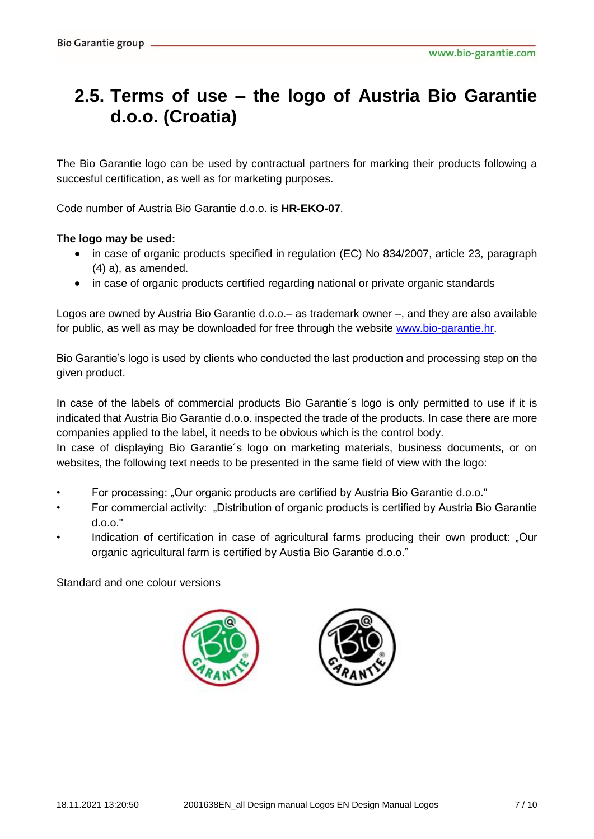### **2.5. Terms of use – the logo of Austria Bio Garantie d.o.o. (Croatia)**

The Bio Garantie logo can be used by contractual partners for marking their products following a succesful certification, as well as for marketing purposes.

Code number of Austria Bio Garantie d.o.o. is **HR-EKO-07**.

#### **The logo may be used:**

- in case of organic products specified in regulation (EC) No 834/2007, article 23, paragraph (4) a), as amended.
- in case of organic products certified regarding national or private organic standards

Logos are owned by Austria Bio Garantie d.o.o.– as trademark owner –, and they are also available for public, as well as may be downloaded for free through the website [www.bio-garantie.hr.](http://www.bio-garantie.hr/)

Bio Garantie's logo is used by clients who conducted the last production and processing step on the given product.

In case of the labels of commercial products Bio Garantie's logo is only permitted to use if it is indicated that Austria Bio Garantie d.o.o. inspected the trade of the products. In case there are more companies applied to the label, it needs to be obvious which is the control body.

In case of displaying Bio Garantie's logo on marketing materials, business documents, or on websites, the following text needs to be presented in the same field of view with the logo:

- For processing: "Our organic products are certified by Austria Bio Garantie d.o.o."
- For commercial activity: "Distribution of organic products is certified by Austria Bio Garantie d.o.o."
- Indication of certification in case of agricultural farms producing their own product: "Our organic agricultural farm is certified by Austia Bio Garantie d.o.o."



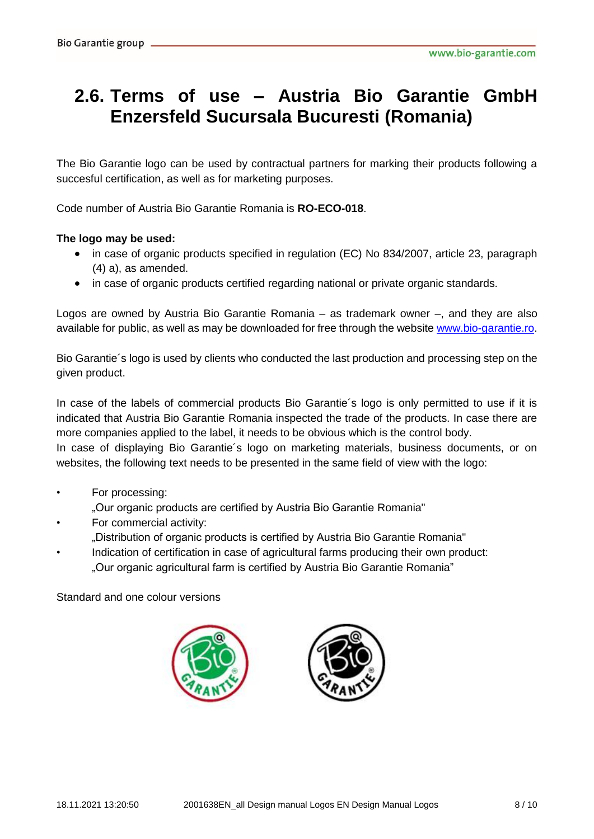### **2.6. Terms of use – Austria Bio Garantie GmbH Enzersfeld Sucursala Bucuresti (Romania)**

The Bio Garantie logo can be used by contractual partners for marking their products following a succesful certification, as well as for marketing purposes.

Code number of Austria Bio Garantie Romania is **RO-ECO-018**.

#### **The logo may be used:**

- in case of organic products specified in regulation (EC) No 834/2007, article 23, paragraph (4) a), as amended.
- in case of organic products certified regarding national or private organic standards.

Logos are owned by Austria Bio Garantie Romania – as trademark owner –, and they are also available for public, as well as may be downloaded for free through the websit[e www.bio-garantie.ro.](http://www.bio-garantie.ro/)

Bio Garantie´s logo is used by clients who conducted the last production and processing step on the given product.

In case of the labels of commercial products Bio Garantie´s logo is only permitted to use if it is indicated that Austria Bio Garantie Romania inspected the trade of the products. In case there are more companies applied to the label, it needs to be obvious which is the control body. In case of displaying Bio Garantie's logo on marketing materials, business documents, or on websites, the following text needs to be presented in the same field of view with the logo:

- For processing:
	- "Our organic products are certified by Austria Bio Garantie Romania"
- For commercial activity:
- "Distribution of organic products is certified by Austria Bio Garantie Romania"
- Indication of certification in case of agricultural farms producing their own product: "Our organic agricultural farm is certified by Austria Bio Garantie Romania"



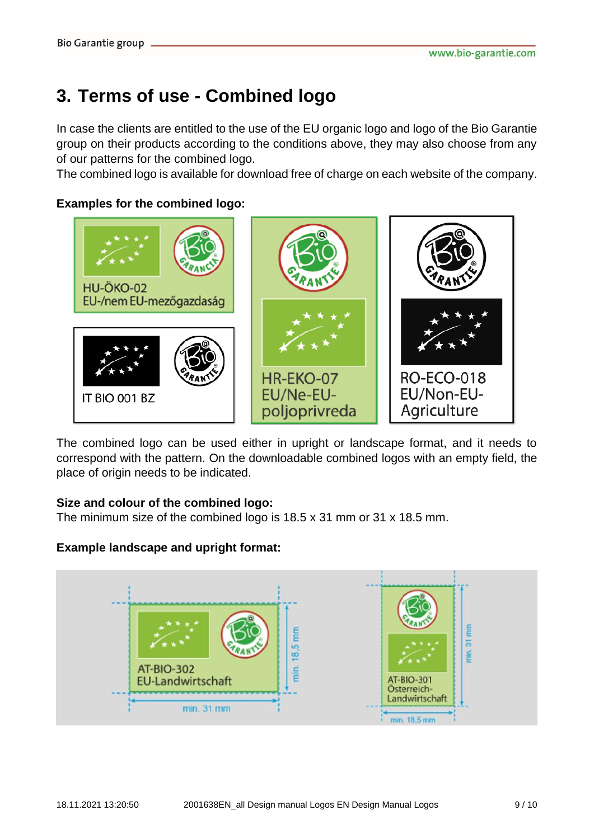# **3. Terms of use - Combined logo**

In case the clients are entitled to the use of the EU organic logo and logo of the Bio Garantie group on their products according to the conditions above, they may also choose from any of our patterns for the combined logo.

The combined logo is available for download free of charge on each website of the company.

#### **Examples for the combined logo:**



The combined logo can be used either in upright or landscape format, and it needs to correspond with the pattern. On the downloadable combined logos with an empty field, the place of origin needs to be indicated.

#### **Size and colour of the combined logo:**

The minimum size of the combined logo is 18.5 x 31 mm or 31 x 18.5 mm.

#### **Example landscape and upright format:**